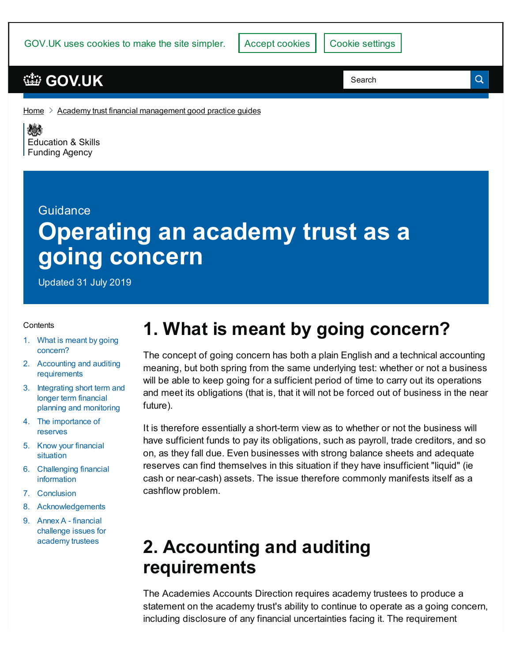GOV.UK uses cookies to make the site simpler.

### **[GOV.UK](https://www.gov.uk)**

Search

Q

[Home](https://www.gov.uk/)  $\geq$  Academy trust financial [management](https://www.gov.uk/government/publications/academy-trust-financial-management-good-practice-guides) good practice guides

《感》 [Education](https://www.gov.uk/government/organisations/education-and-skills-funding-agency) & Skills **Funding Agency** 

#### Guidance

# **Operating an academy trust as a going concern**

Updated 31 July 2019

#### **Contents**

- 1. What is meant by going [concern?](#page-0-0)
- 2. Accounting and auditing [requirements](#page-0-1)
- 3. Integrating short term and longer term financial planning and [monitoring](#page-2-0)
- 4. The [importance](#page-3-0) of reserves
- 5. Know your [financial](#page-3-1) situation
- 6. [Challenging](#page-4-0) financial information
- 7. [Conclusion](#page-4-1)
- 8. [Acknowledgements](#page-5-0)
- 9. Annex A financial [challenge](#page-5-1) issues for academy trustees

## <span id="page-0-0"></span>**1. What is meant by going concern?**

The concept of going concern has both a plain English and a technical accounting meaning, but both spring from the same underlying test: whether or not a business will be able to keep going for a sufficient period of time to carry out its operations and meet its obligations (that is, that it will not be forced out of business in the near future).

It is therefore essentially a short-term view as to whether or not the business will have sufficient funds to pay its obligations, such as payroll, trade creditors, and so on, as they fall due. Even businesses with strong balance sheets and adequate reserves can find themselves in this situation if they have insufficient "liquid" (ie cash or near-cash) assets. The issue therefore commonly manifests itself as a cashflow problem.

## <span id="page-0-1"></span>**2. Accounting and auditing requirements**

The Academies Accounts Direction requires academy trustees to produce a statement on the academy trust's ability to continue to operate as a going concern, including disclosure of any financial uncertainties facing it. The requirement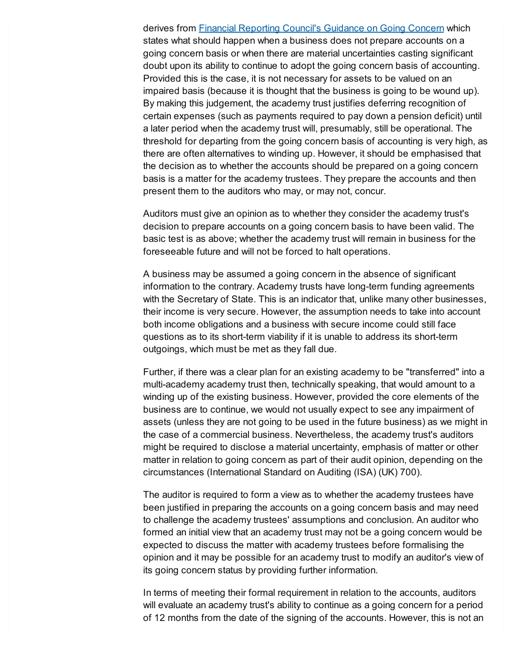derives from Financial [Reporting](https://www.frc.org.uk/news/april-2016/guidance-on-the-going-concern-basis-of-accounting) Council's Guidance on Going Concern which states what should happen when a business does not prepare accounts on a going concern basis or when there are material uncertainties casting significant doubt upon its ability to continue to adopt the going concern basis of accounting. Provided this is the case, it is not necessary for assets to be valued on an impaired basis (because it is thought that the business is going to be wound up). By making this judgement, the academy trust justifies deferring recognition of certain expenses (such as payments required to pay down a pension deficit) until a later period when the academy trust will, presumably, still be operational. The threshold for departing from the going concern basis of accounting is very high, as there are often alternatives to winding up. However, it should be emphasised that the decision as to whether the accounts should be prepared on a going concern basis is a matter for the academy trustees. They prepare the accounts and then present them to the auditors who may, or may not, concur.

Auditors must give an opinion as to whether they consider the academy trust's decision to prepare accounts on a going concern basis to have been valid. The basic test is as above; whether the academy trust will remain in business for the foreseeable future and will not be forced to halt operations.

A business may be assumed a going concern in the absence of significant information to the contrary. Academy trusts have long-term funding agreements with the Secretary of State. This is an indicator that, unlike many other businesses, their income is very secure. However, the assumption needs to take into account both income obligations and a business with secure income could still face questions as to its short-term viability if it is unable to address its short-term outgoings, which must be met as they fall due.

Further, if there was a clear plan for an existing academy to be "transferred" into a multi-academy academy trust then, technically speaking, that would amount to a winding up of the existing business. However, provided the core elements of the business are to continue, we would not usually expect to see any impairment of assets (unless they are not going to be used in the future business) as we might in the case of a commercial business. Nevertheless, the academy trust's auditors might be required to disclose a material uncertainty, emphasis of matter or other matter in relation to going concern as part of their audit opinion, depending on the circumstances (International Standard on Auditing (ISA) (UK) 700).

The auditor is required to form a view as to whether the academy trustees have been justified in preparing the accounts on a going concern basis and may need to challenge the academy trustees' assumptions and conclusion. An auditor who formed an initial view that an academy trust may not be a going concern would be expected to discuss the matter with academy trustees before formalising the opinion and it may be possible for an academy trust to modify an auditor's view of its going concern status by providing further information.

In terms of meeting their formal requirement in relation to the accounts, auditors will evaluate an academy trust's ability to continue as a going concern for a period of 12 months from the date of the signing of the accounts. However, this is not an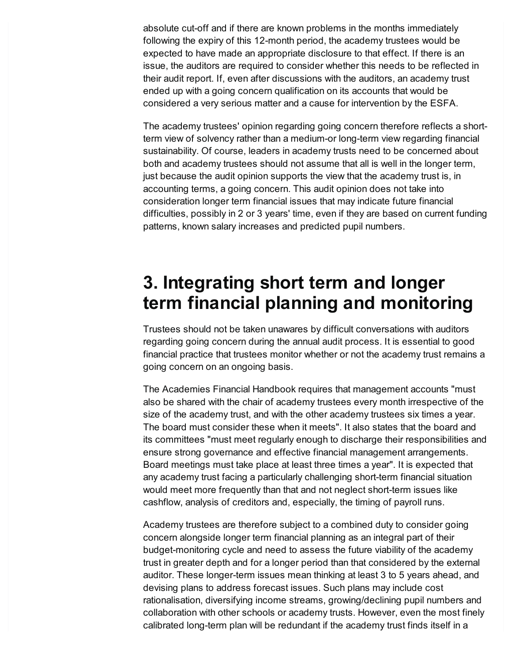absolute cut-off and if there are known problems in the months immediately following the expiry of this 12-month period, the academy trustees would be expected to have made an appropriate disclosure to that effect. If there is an issue, the auditors are required to consider whether this needs to be reflected in their audit report. If, even after discussions with the auditors, an academy trust ended up with a going concern qualification on its accounts that would be considered a very serious matter and a cause for intervention by the ESFA.

The academy trustees' opinion regarding going concern therefore reflects a shortterm view of solvency rather than a medium-or long-term view regarding financial sustainability. Of course, leaders in academy trusts need to be concerned about both and academy trustees should not assume that all is well in the longer term, just because the audit opinion supports the view that the academy trust is, in accounting terms, a going concern. This audit opinion does not take into consideration longer term financial issues that may indicate future financial difficulties, possibly in 2 or 3 years' time, even if they are based on current funding patterns, known salary increases and predicted pupil numbers.

## <span id="page-2-0"></span>**3. Integrating short term and longer term financial planning and monitoring**

Trustees should not be taken unawares by difficult conversations with auditors regarding going concern during the annual audit process. It is essential to good financial practice that trustees monitor whether or not the academy trust remains a going concern on an ongoing basis.

The Academies Financial Handbook requires that management accounts "must also be shared with the chair of academy trustees every month irrespective of the size of the academy trust, and with the other academy trustees six times a year. The board must consider these when it meets". It also states that the board and its committees "must meet regularly enough to discharge their responsibilities and ensure strong governance and effective financial management arrangements. Board meetings must take place at least three times a year". It is expected that any academy trust facing a particularly challenging short-term financial situation would meet more frequently than that and not neglect short-term issues like cashflow, analysis of creditors and, especially, the timing of payroll runs.

Academy trustees are therefore subject to a combined duty to consider going concern alongside longer term financial planning as an integral part of their budget-monitoring cycle and need to assess the future viability of the academy trust in greater depth and for a longer period than that considered by the external auditor. These longer-term issues mean thinking at least 3 to 5 years ahead, and devising plans to address forecast issues. Such plans may include cost rationalisation, diversifying income streams, growing/declining pupil numbers and collaboration with other schools or academy trusts. However, even the most finely calibrated long-term plan will be redundant if the academy trust finds itself in a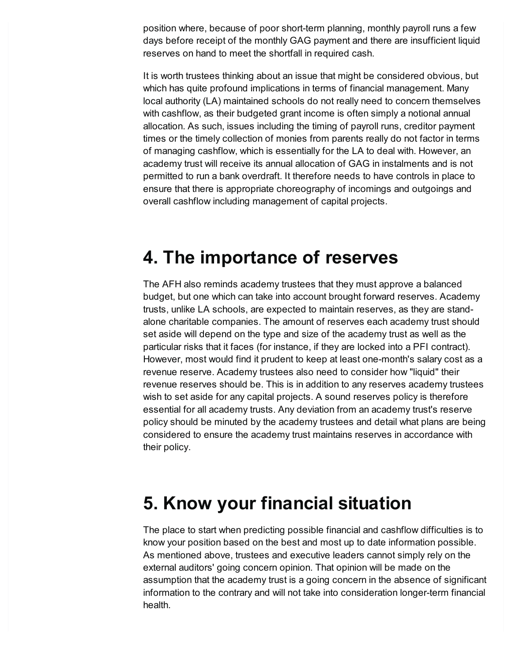position where, because of poor short-term planning, monthly payroll runs a few days before receipt of the monthly GAG payment and there are insufficient liquid reserves on hand to meet the shortfall in required cash.

It is worth trustees thinking about an issue that might be considered obvious, but which has quite profound implications in terms of financial management. Many local authority (LA) maintained schools do not really need to concern themselves with cashflow, as their budgeted grant income is often simply a notional annual allocation. As such, issues including the timing of payroll runs, creditor payment times or the timely collection of monies from parents really do not factor in terms of managing cashflow, which is essentially for the LA to deal with. However, an academy trust will receive its annual allocation of GAG in instalments and is not permitted to run a bank overdraft. It therefore needs to have controls in place to ensure that there is appropriate choreography of incomings and outgoings and overall cashflow including management of capital projects.

#### <span id="page-3-0"></span>**4. The importance of reserves**

The AFH also reminds academy trustees that they must approve a balanced budget, but one which can take into account brought forward reserves. Academy trusts, unlike LA schools, are expected to maintain reserves, as they are standalone charitable companies. The amount of reserves each academy trust should set aside will depend on the type and size of the academy trust as well as the particular risks that it faces (for instance, if they are locked into a PFI contract). However, most would find it prudent to keep at least one-month's salary cost as a revenue reserve. Academy trustees also need to consider how "liquid" their revenue reserves should be. This is in addition to any reserves academy trustees wish to set aside for any capital projects. A sound reserves policy is therefore essential for all academy trusts. Any deviation from an academy trust's reserve policy should be minuted by the academy trustees and detail what plans are being considered to ensure the academy trust maintains reserves in accordance with their policy.

### <span id="page-3-1"></span>**5. Know your financial situation**

The place to start when predicting possible financial and cashflow difficulties is to know your position based on the best and most up to date information possible. As mentioned above, trustees and executive leaders cannot simply rely on the external auditors' going concern opinion. That opinion will be made on the assumption that the academy trust is a going concern in the absence of significant information to the contrary and will not take into consideration longer-term financial health.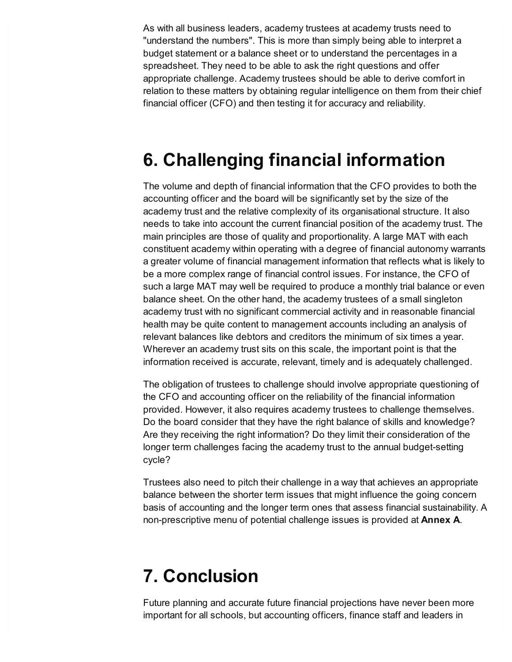As with all business leaders, academy trustees at academy trusts need to "understand the numbers". This is more than simply being able to interpret a budget statement or a balance sheet or to understand the percentages in a spreadsheet. They need to be able to ask the right questions and offer appropriate challenge. Academy trustees should be able to derive comfort in relation to these matters by obtaining regular intelligence on them from their chief financial officer (CFO) and then testing it for accuracy and reliability.

## <span id="page-4-0"></span>**6. Challenging financial information**

The volume and depth of financial information that the CFO provides to both the accounting officer and the board will be significantly set by the size of the academy trust and the relative complexity of its organisational structure. It also needs to take into account the current financial position of the academy trust. The main principles are those of quality and proportionality. A large MAT with each constituent academy within operating with a degree of financial autonomy warrants a greater volume of financial management information that reflects what is likely to be a more complex range of financial control issues. For instance, the CFO of such a large MAT may well be required to produce a monthly trial balance or even balance sheet. On the other hand, the academy trustees of a small singleton academy trust with no significant commercial activity and in reasonable financial health may be quite content to management accounts including an analysis of relevant balances like debtors and creditors the minimum of six times a year. Wherever an academy trust sits on this scale, the important point is that the information received is accurate, relevant, timely and is adequately challenged.

The obligation of trustees to challenge should involve appropriate questioning of the CFO and accounting officer on the reliability of the financial information provided. However, it also requires academy trustees to challenge themselves. Do the board consider that they have the right balance of skills and knowledge? Are they receiving the right information? Do they limit their consideration of the longer term challenges facing the academy trust to the annual budget-setting cycle?

Trustees also need to pitch their challenge in a way that achieves an appropriate balance between the shorter term issues that might influence the going concern basis of accounting and the longer term ones that assess financial sustainability. A non-prescriptive menu of potential challenge issues is provided at **Annex A**.

## <span id="page-4-1"></span>**7. Conclusion**

Future planning and accurate future financial projections have never been more important for all schools, but accounting officers, finance staff and leaders in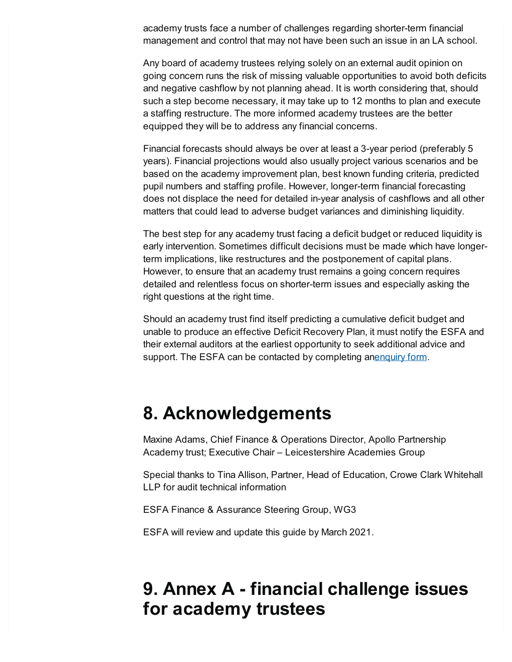academy trusts face a number of challenges regarding shorter-term financial management and control that may not have been such an issue in an LA school.

Any board of academy trustees relying solely on an external audit opinion on going concern runs the risk of missing valuable opportunities to avoid both deficits and negative cashflow by not planning ahead. It is worth considering that, should such a step become necessary, it may take up to 12 months to plan and execute a staffing restructure. The more informed academy trustees are the better equipped they will be to address any financial concerns.

Financial forecasts should always be over at least a 3-year period (preferably 5 years). Financial projections would also usually project various scenarios and be based on the academy improvement plan, best known funding criteria, predicted pupil numbers and staffing profile. However, longer-term financial forecasting does not displace the need for detailed in-year analysis of cashflows and all other matters that could lead to adverse budget variances and diminishing liquidity.

The best step for any academy trust facing a deficit budget or reduced liquidity is early intervention. Sometimes difficult decisions must be made which have longerterm implications, like restructures and the postponement of capital plans. However, to ensure that an academy trust remains a going concern requires detailed and relentless focus on shorter-term issues and especially asking the right questions at the right time.

Should an academy trust find itself predicting a cumulative deficit budget and unable to produce an effective Deficit Recovery Plan, it must notify the ESFA and their external auditors at the earliest opportunity to seek additional advice and support. The ESFA can be contacted by completing a[nenquiry](https://form.education.gov.uk/fillform.php?self=1&form_id=HR41uA2F8Dh&type=form&ShowMsg=1&form_name=Knowledge+centre+enquiry+form&noRegister=false&ret=%2Fmodule%2Fservices&noLoginPrompt=1) form.

#### <span id="page-5-0"></span>**8. Acknowledgements**

Maxine Adams, Chief Finance & Operations Director, Apollo Partnership Academy trust; Executive Chair – Leicestershire Academies Group

Special thanks to Tina Allison, Partner, Head of Education, Crowe Clark Whitehall LLP for audit technical information

ESFA Finance & Assurance Steering Group, WG3

ESFA will review and update this guide by March 2021.

## <span id="page-5-1"></span>**9. Annex A - financial challenge issues for academy trustees**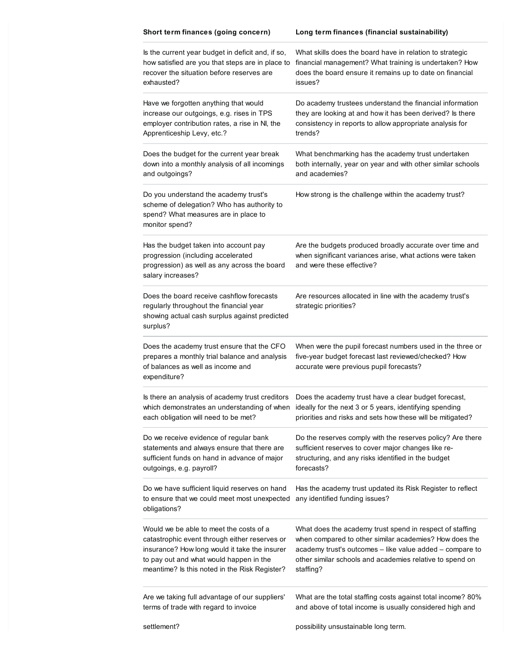| Short term finances (going concern)                                                                                                                                                                                                   | Long term finances (financial sustainability)                                                                                                                                                                                                                              |
|---------------------------------------------------------------------------------------------------------------------------------------------------------------------------------------------------------------------------------------|----------------------------------------------------------------------------------------------------------------------------------------------------------------------------------------------------------------------------------------------------------------------------|
| Is the current year budget in deficit and, if so,<br>how satisfied are you that steps are in place to<br>recover the situation before reserves are<br>exhausted?                                                                      | What skills does the board have in relation to strategic<br>financial management? What training is undertaken? How<br>does the board ensure it remains up to date on financial<br>issues?                                                                                  |
| Have we forgotten anything that would<br>increase our outgoings, e.g. rises in TPS<br>employer contribution rates, a rise in NI, the<br>Apprenticeship Levy, etc.?                                                                    | Do academy trustees understand the financial information<br>they are looking at and how it has been derived? Is there<br>consistency in reports to allow appropriate analysis for<br>trends?                                                                               |
| Does the budget for the current year break<br>down into a monthly analysis of all incomings<br>and outgoings?                                                                                                                         | What benchmarking has the academy trust undertaken<br>both internally, year on year and with other similar schools<br>and academies?                                                                                                                                       |
| Do you understand the academy trust's<br>scheme of delegation? Who has authority to<br>spend? What measures are in place to<br>monitor spend?                                                                                         | How strong is the challenge within the academy trust?                                                                                                                                                                                                                      |
| Has the budget taken into account pay<br>progression (including accelerated<br>progression) as well as any across the board<br>salary increases?                                                                                      | Are the budgets produced broadly accurate over time and<br>when significant variances arise, what actions were taken<br>and were these effective?                                                                                                                          |
| Does the board receive cashflow forecasts<br>regularly throughout the financial year<br>showing actual cash surplus against predicted<br>surplus?                                                                                     | Are resources allocated in line with the academy trust's<br>strategic priorities?                                                                                                                                                                                          |
| Does the academy trust ensure that the CFO<br>prepares a monthly trial balance and analysis<br>of balances as well as income and<br>expenditure?                                                                                      | When were the pupil forecast numbers used in the three or<br>five-year budget forecast last reviewed/checked? How<br>accurate were previous pupil forecasts?                                                                                                               |
| each obligation will need to be met?                                                                                                                                                                                                  | Is there an analysis of academy trust creditors  Does the academy trust have a clear budget forecast,<br>which demonstrates an understanding of when ideally for the next 3 or 5 years, identifying spending<br>priorities and risks and sets how these will be mitigated? |
| Do we receive evidence of regular bank<br>statements and always ensure that there are<br>sufficient funds on hand in advance of major<br>outgoings, e.g. payroll?                                                                     | Do the reserves comply with the reserves policy? Are there<br>sufficient reserves to cover major changes like re-<br>structuring, and any risks identified in the budget<br>forecasts?                                                                                     |
| Do we have sufficient liquid reserves on hand<br>to ensure that we could meet most unexpected<br>obligations?                                                                                                                         | Has the academy trust updated its Risk Register to reflect<br>any identified funding issues?                                                                                                                                                                               |
| Would we be able to meet the costs of a<br>catastrophic event through either reserves or<br>insurance? How long would it take the insurer<br>to pay out and what would happen in the<br>meantime? Is this noted in the Risk Register? | What does the academy trust spend in respect of staffing<br>when compared to other similar academies? How does the<br>academy trust's outcomes - like value added - compare to<br>other similar schools and academies relative to spend on<br>staffing?                    |
| Are we taking full advantage of our suppliers'<br>terms of trade with regard to invoice                                                                                                                                               | What are the total staffing costs against total income? 80%<br>and above of total income is usually considered high and                                                                                                                                                    |
|                                                                                                                                                                                                                                       |                                                                                                                                                                                                                                                                            |

possibility unsustainable long term.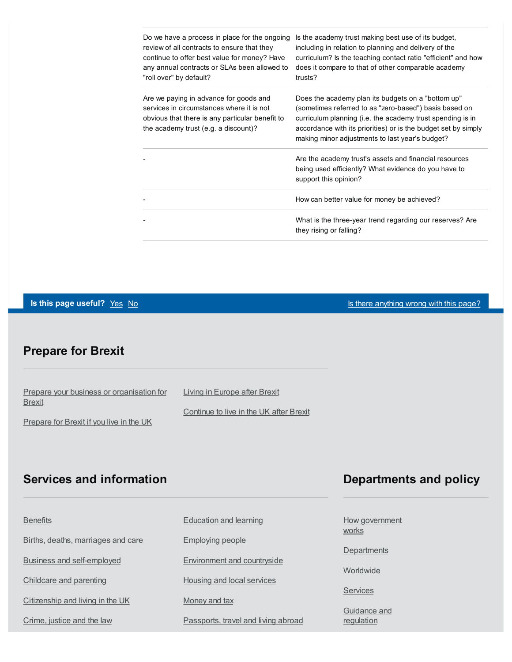| Do we have a process in place for the ongoing<br>review of all contracts to ensure that they<br>continue to offer best value for money? Have<br>any annual contracts or SLAs been allowed to<br>"roll over" by default? | Is the academy trust making best use of its budget,<br>including in relation to planning and delivery of the<br>curriculum? Is the teaching contact ratio "efficient" and how<br>does it compare to that of other comparable academy<br>trusts?                                                 |
|-------------------------------------------------------------------------------------------------------------------------------------------------------------------------------------------------------------------------|-------------------------------------------------------------------------------------------------------------------------------------------------------------------------------------------------------------------------------------------------------------------------------------------------|
| Are we paying in advance for goods and<br>services in circumstances where it is not<br>obvious that there is any particular benefit to<br>the academy trust (e.g. a discount)?                                          | Does the academy plan its budgets on a "bottom up"<br>(sometimes referred to as "zero-based") basis based on<br>curriculum planning (i.e. the academy trust spending is in<br>accordance with its priorities) or is the budget set by simply<br>making minor adjustments to last year's budget? |
|                                                                                                                                                                                                                         | Are the academy trust's assets and financial resources<br>being used efficiently? What evidence do you have to<br>support this opinion?                                                                                                                                                         |
|                                                                                                                                                                                                                         | How can better value for money be achieved?                                                                                                                                                                                                                                                     |
|                                                                                                                                                                                                                         | What is the three-year trend regarding our reserves? Are<br>they rising or falling?                                                                                                                                                                                                             |

#### **Is this page useful?** [Yes](https://www.gov.uk/contact/govuk) [No](https://www.gov.uk/contact/govuk) Is the Magnetic Control of the Magnetic Section 1 and 15 Section 1 and 15 Section 1

#### **Prepare for Brexit**

| Prepare your business or organisation for | Living in Europe after Brexit           |
|-------------------------------------------|-----------------------------------------|
| <b>Brexit</b>                             |                                         |
|                                           | Continue to live in the UK after Brexit |
| Prepare for Brexit if you live in the UK  |                                         |

#### **Services and information**

| <b>Benefits</b>                    | <b>Education and learning</b>       | How government             |
|------------------------------------|-------------------------------------|----------------------------|
| Births, deaths, marriages and care | <b>Employing people</b>             | works                      |
| <b>Business and self-employed</b>  | Environment and countryside         | Departments                |
| Childcare and parenting            | Housing and local services          | Worldwide                  |
| Citizenship and living in the UK   | Money and tax                       | Services                   |
| Crime, justice and the law         | Passports, travel and living abroad | Guidance and<br>regulation |

#### **Departments and policy**